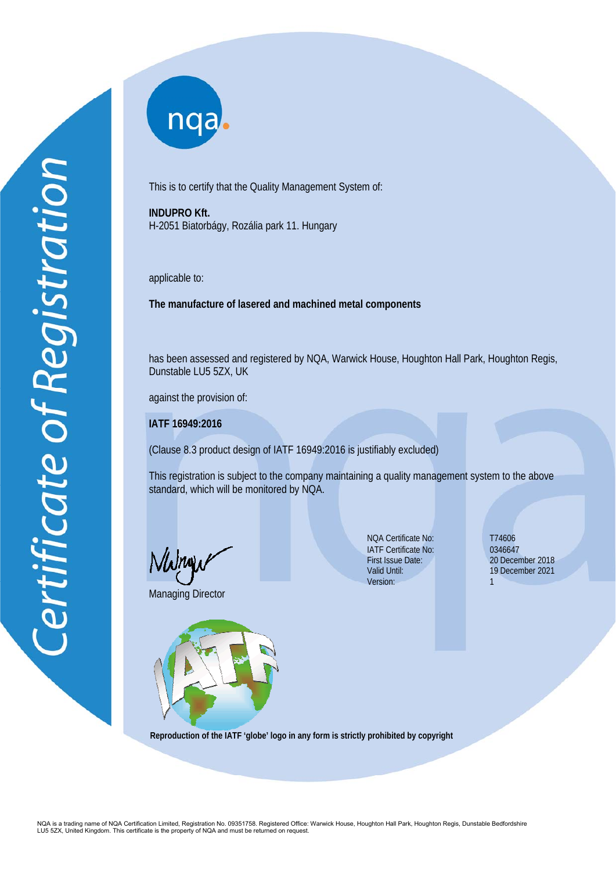nqa.

This is to certify that the Quality Management System of:

**INDUPRO Kft.**  H-2051 Biatorbágy, Rozália park 11. Hungary

applicable to:

**The manufacture of lasered and machined metal components** 

has been assessed and registered by NQA, Warwick House, Houghton Hall Park, Houghton Regis, Dunstable LU5 5ZX, UK

against the provision of:

**IATF 16949:2016**

(Clause 8.3 product design of IATF 16949:2016 is justifiably excluded)

This registration is subject to the company maintaining a quality management system to the above standard, which will be monitored by NQA.

Mamy

Managing Director



NQA Certificate No: T74606 IATF Certificate No: First Issue Date: Valid Until: Version:

0346647 20 December 2018 19 December 2021 1

 **Reproduction of the IATF 'globe' logo in any form is strictly prohibited by copyright**